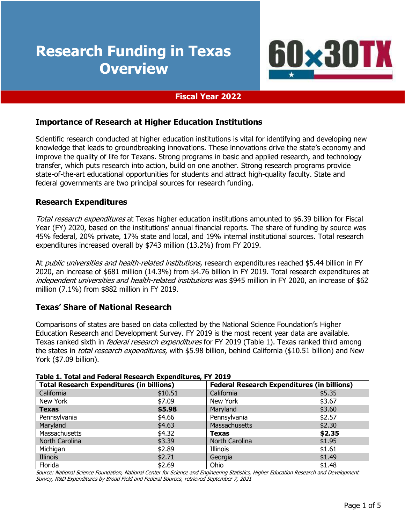# **Research Funding in Texas Overview**



#### **Fiscal Year 2022**

#### **Importance of Research at Higher Education Institutions**

Scientific research conducted at higher education institutions is vital for identifying and developing new knowledge that leads to groundbreaking innovations. These innovations drive the state's economy and improve the quality of life for Texans. Strong programs in basic and applied research, and technology transfer, which puts research into action, build on one another. Strong research programs provide state-of-the-art educational opportunities for students and attract high-quality faculty. State and federal governments are two principal sources for research funding.

#### **Research Expenditures**

Total research expenditures at Texas higher education institutions amounted to \$6.39 billion for Fiscal Year (FY) 2020, based on the institutions' annual financial reports. The share of funding by source was 45% federal, 20% private, 17% state and local, and 19% internal institutional sources. Total research expenditures increased overall by \$743 million (13.2%) from FY 2019.

At *public universities and health-related institutions*, research expenditures reached \$5.44 billion in FY 2020, an increase of \$681 million (14.3%) from \$4.76 billion in FY 2019. Total research expenditures at independent universities and health-related institutions was \$945 million in FY 2020, an increase of \$62 million (7.1%) from \$882 million in FY 2019.

## **Texas' Share of National Research**

Comparisons of states are based on data collected by the National Science Foundation's Higher Education Research and Development Survey. FY 2019 is the most recent year data are available. Texas ranked sixth in *federal research expenditures* for FY 2019 (Table 1). Texas ranked third among the states in *total research expenditures*, with \$5.98 billion, behind California (\$10.51 billion) and New York (\$7.09 billion).

| Table 1. Total and Federal Research Experienties, FT 2019 |                                                  |                |                                                    |  |  |  |
|-----------------------------------------------------------|--------------------------------------------------|----------------|----------------------------------------------------|--|--|--|
|                                                           | <b>Total Research Expenditures (in billions)</b> |                | <b>Federal Research Expenditures (in billions)</b> |  |  |  |
| California                                                | \$10.51                                          | California     | \$5.35                                             |  |  |  |
| New York                                                  | \$7.09                                           | New York       | \$3.67                                             |  |  |  |
| <b>Texas</b>                                              | \$5.98                                           | Maryland       | \$3.60                                             |  |  |  |
| Pennsylvania                                              | \$4.66                                           | Pennsylvania   | \$2.57                                             |  |  |  |
| Maryland                                                  | \$4.63                                           | Massachusetts  | \$2.30                                             |  |  |  |
| Massachusetts                                             | \$4.32                                           | Texas          | \$2.35                                             |  |  |  |
| North Carolina                                            | \$3.39                                           | North Carolina | \$1.95                                             |  |  |  |
| Michigan                                                  | \$2.89                                           | Illinois       | \$1.61                                             |  |  |  |
| Illinois                                                  | \$2.71                                           | Georgia        | \$1.49                                             |  |  |  |
| Florida                                                   | \$2.69                                           | Ohio           | \$1.48                                             |  |  |  |

#### **Table 1. Total and Federal Research Expenditures, FY 2019**

Source: National Science Foundation, National Center for Science and Engineering Statistics, Higher Education Research and Development Survey, R&D Expenditures by Broad Field and Federal Sources, retrieved September 7, 2021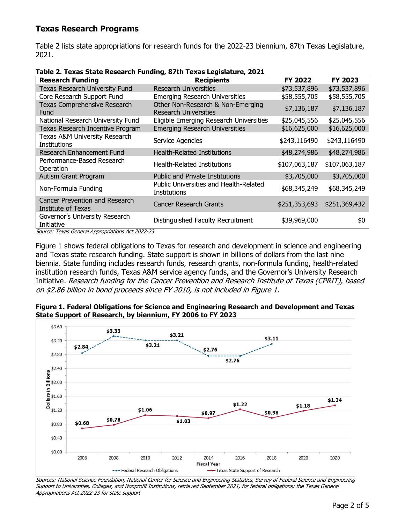## **Texas Research Programs**

Table 2 lists state appropriations for research funds for the 2022-23 biennium, 87th Texas Legislature, 2021.

| <b>Research Funding</b>                                     | <b>Recipients</b>                                                 | FY 2022       | <b>FY 2023</b> |
|-------------------------------------------------------------|-------------------------------------------------------------------|---------------|----------------|
| Texas Research University Fund                              | Research Universities                                             | \$73,537,896  | \$73,537,896   |
| Core Research Support Fund                                  | <b>Emerging Research Universities</b>                             | \$58,555,705  | \$58,555,705   |
| Texas Comprehensive Research<br>Fund                        | Other Non-Research & Non-Emerging<br><b>Research Universities</b> | \$7,136,187   | \$7,136,187    |
| National Research University Fund                           | Eligible Emerging Research Universities                           | \$25,045,556  | \$25,045,556   |
| Texas Research Incentive Program                            | <b>Emerging Research Universities</b>                             | \$16,625,000  | \$16,625,000   |
| Texas A&M University Research<br><b>Institutions</b>        | Service Agencies                                                  | \$243,116490  | \$243,116490   |
| Research Enhancement Fund                                   | <b>Health-Related Institutions</b>                                | \$48,274,986  | \$48,274,986   |
| Performance-Based Research<br>Operation                     | <b>Health-Related Institutions</b>                                | \$107,063,187 | \$107,063,187  |
| Autism Grant Program                                        | <b>Public and Private Institutions</b>                            | \$3,705,000   | \$3,705,000    |
| Non-Formula Funding                                         | Public Universities and Health-Related<br>Institutions            | \$68,345,249  | \$68,345,249   |
| <b>Cancer Prevention and Research</b><br>Institute of Texas | <b>Cancer Research Grants</b>                                     | \$251,353,693 | \$251,369,432  |
| Governor's University Research<br>Initiative                | Distinguished Faculty Recruitment                                 | \$39,969,000  | \$0            |

**Table 2. Texas State Research Funding, 87th Texas Legislature, 2021**

Source: Texas General Appropriations Act 2022-23

Figure 1 shows federal obligations to Texas for research and development in science and engineering and Texas state research funding. State support is shown in billions of dollars from the last nine biennia. State funding includes research funds, research grants, non-formula funding, health-related institution research funds, Texas A&M service agency funds, and the Governor's University Research Initiative. Research funding for the Cancer Prevention and Research Institute of Texas (CPRIT), based on \$2.86 billion in bond proceeds since FY 2010, is not included in Figure 1.



**Figure 1. Federal Obligations for Science and Engineering Research and Development and Texas State Support of Research, by biennium, FY 2006 to FY 2023**

Sources: National Science Foundation, National Center for Science and Engineering Statistics, Survey of Federal Science and Engineering Support to Universities, Colleges, and Nonprofit Institutions, retrieved September 2021, for federal obligations; the Texas General Appropriations Act 2022-23 for state support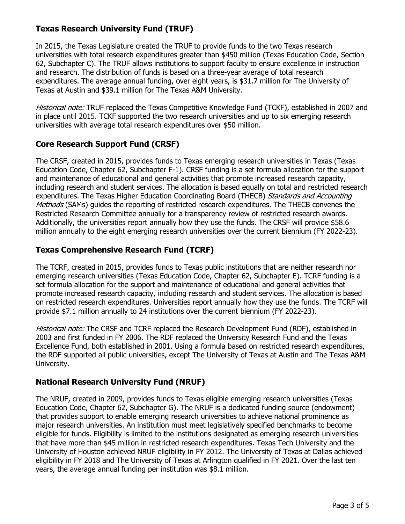# **Texas Research University Fund (TRUF)**

In 2015, the Texas Legislature created the TRUF to provide funds to the two Texas research universities with total research expenditures greater than \$450 million (Texas Education Code, Section 62, Subchapter C). The TRUF allows institutions to support faculty to ensure excellence in instruction and research. The distribution of funds is based on a three-year average of total research expenditures. The average annual funding, over eight years, is \$31.7 million for The University of Texas at Austin and \$39.1 million for The Texas A&M University.

Historical note: TRUF replaced the Texas Competitive Knowledge Fund (TCKF), established in 2007 and in place until 2015. TCKF supported the two research universities and up to six emerging research universities with average total research expenditures over \$50 million.

## **Core Research Support Fund (CRSF)**

The CRSF, created in 2015, provides funds to Texas emerging research universities in Texas (Texas Education Code, Chapter 62, Subchapter F-1). CRSF funding is a set formula allocation for the support and maintenance of educational and general activities that promote increased research capacity, including research and student services. The allocation is based equally on total and restricted research expenditures. The Texas Higher Education Coordinating Board (THECB) Standards and Accounting Methods (SAMs) guides the reporting of restricted research expenditures. The THECB convenes the Restricted Research Committee annually for a transparency review of restricted research awards. Additionally, the universities report annually how they use the funds. The CRSF will provide \$58.6 million annually to the eight emerging research universities over the current biennium (FY 2022-23).

## **Texas Comprehensive Research Fund (TCRF)**

The TCRF, created in 2015, provides funds to Texas public institutions that are neither research nor emerging research universities (Texas Education Code, Chapter 62, Subchapter E). TCRF funding is a set formula allocation for the support and maintenance of educational and general activities that promote increased research capacity, including research and student services. The allocation is based on restricted research expenditures. Universities report annually how they use the funds. The TCRF will provide \$7.1 million annually to 24 institutions over the current biennium (FY 2022-23).

Historical note: The CRSF and TCRF replaced the Research Development Fund (RDF), established in 2003 and first funded in FY 2006. The RDF replaced the University Research Fund and the Texas Excellence Fund, both established in 2001. Using a formula based on restricted research expenditures, the RDF supported all public universities, except The University of Texas at Austin and The Texas A&M University.

## **National Research University Fund (NRUF)**

The NRUF, created in 2009, provides funds to Texas eligible emerging research universities (Texas Education Code, Chapter 62, Subchapter G). The NRUF is a dedicated funding source (endowment) that provides support to enable emerging research universities to achieve national prominence as major research universities. An institution must meet legislatively specified benchmarks to become eligible for funds. Eligibility is limited to the institutions designated as emerging research universities that have more than \$45 million in restricted research expenditures. Texas Tech University and the University of Houston achieved NRUF eligibility in FY 2012. The University of Texas at Dallas achieved eligibility in FY 2018 and The University of Texas at Arlington qualified in FY 2021. Over the last ten years, the average annual funding per institution was \$8.1 million.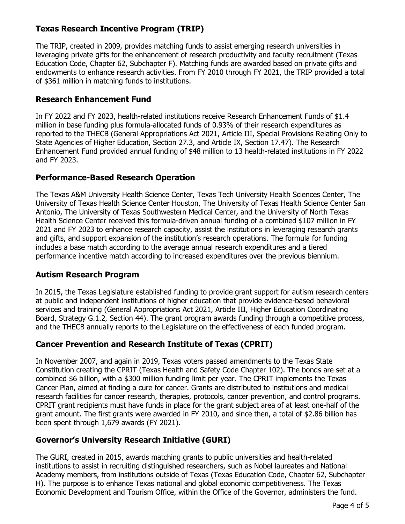# **Texas Research Incentive Program (TRIP)**

The TRIP, created in 2009, provides matching funds to assist emerging research universities in leveraging private gifts for the enhancement of research productivity and faculty recruitment (Texas Education Code, Chapter 62, Subchapter F). Matching funds are awarded based on private gifts and endowments to enhance research activities. From FY 2010 through FY 2021, the TRIP provided a total of \$361 million in matching funds to institutions.

## **Research Enhancement Fund**

In FY 2022 and FY 2023, health-related institutions receive Research Enhancement Funds of \$1.4 million in base funding plus formula-allocated funds of 0.93% of their research expenditures as reported to the THECB (General Appropriations Act 2021, Article III, Special Provisions Relating Only to State Agencies of Higher Education, Section 27.3, and Article IX, Section 17.47). The Research Enhancement Fund provided annual funding of \$48 million to 13 health-related institutions in FY 2022 and FY 2023.

## **Performance-Based Research Operation**

The Texas A&M University Health Science Center, Texas Tech University Health Sciences Center, The University of Texas Health Science Center Houston, The University of Texas Health Science Center San Antonio, The University of Texas Southwestern Medical Center, and the University of North Texas Health Science Center received this formula-driven annual funding of a combined \$107 million in FY 2021 and FY 2023 to enhance research capacity, assist the institutions in leveraging research grants and gifts, and support expansion of the institution's research operations. The formula for funding includes a base match according to the average annual research expenditures and a tiered performance incentive match according to increased expenditures over the previous biennium.

## **Autism Research Program**

In 2015, the Texas Legislature established funding to provide grant support for autism research centers at public and independent institutions of higher education that provide evidence-based behavioral services and training (General Appropriations Act 2021, Article III, Higher Education Coordinating Board, Strategy G.1.2, Section 44). The grant program awards funding through a competitive process, and the THECB annually reports to the Legislature on the effectiveness of each funded program.

## **Cancer Prevention and Research Institute of Texas (CPRIT)**

In November 2007, and again in 2019, Texas voters passed amendments to the Texas State Constitution creating the CPRIT (Texas Health and Safety Code Chapter 102). The bonds are set at a combined \$6 billion, with a \$300 million funding limit per year. The CPRIT implements the Texas Cancer Plan, aimed at finding a cure for cancer. Grants are distributed to institutions and medical research facilities for cancer research, therapies, protocols, cancer prevention, and control programs. CPRIT grant recipients must have funds in place for the grant subject area of at least one-half of the grant amount. The first grants were awarded in FY 2010, and since then, a total of \$2.86 billion has been spent through 1,679 awards (FY 2021).

## **Governor's University Research Initiative (GURI)**

The GURI, created in 2015, awards matching grants to public universities and health-related institutions to assist in recruiting distinguished researchers, such as Nobel laureates and National Academy members, from institutions outside of Texas (Texas Education Code, Chapter 62, Subchapter H). The purpose is to enhance Texas national and global economic competitiveness. The Texas Economic Development and Tourism Office, within the Office of the Governor, administers the fund.